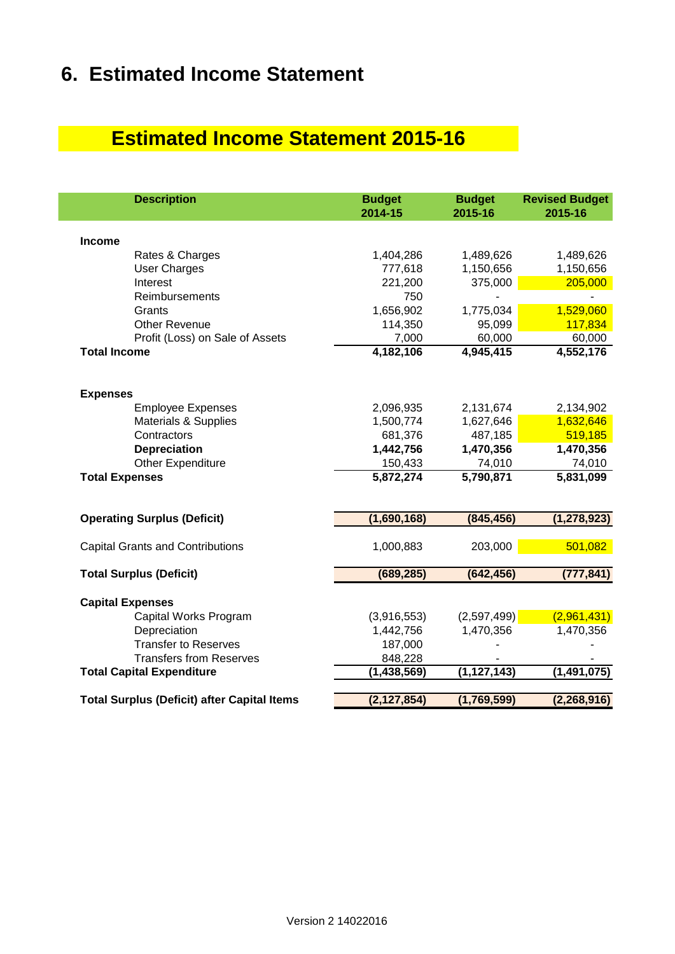# **6. Estimated Income Statement**

## **Estimated Income Statement 2015-16**

| <b>Description</b>                                 | <b>Budget</b><br>2014-15 | <b>Budget</b><br>2015-16 | <b>Revised Budget</b><br>2015-16 |
|----------------------------------------------------|--------------------------|--------------------------|----------------------------------|
| <b>Income</b>                                      |                          |                          |                                  |
| Rates & Charges                                    | 1,404,286                | 1,489,626                | 1,489,626                        |
| <b>User Charges</b>                                | 777,618                  | 1,150,656                | 1,150,656                        |
| Interest                                           | 221,200                  | 375,000                  | 205,000                          |
| Reimbursements                                     | 750                      |                          |                                  |
| Grants                                             | 1,656,902                | 1,775,034                | 1,529,060                        |
| <b>Other Revenue</b>                               | 114,350                  | 95,099                   | 117,834                          |
| Profit (Loss) on Sale of Assets                    | 7,000                    | 60,000                   | 60,000                           |
| <b>Total Income</b>                                | 4,182,106                | 4,945,415                | 4,552,176                        |
| <b>Expenses</b>                                    |                          |                          |                                  |
| <b>Employee Expenses</b>                           | 2,096,935                | 2,131,674                | 2,134,902                        |
| <b>Materials &amp; Supplies</b>                    | 1,500,774                | 1,627,646                | 1,632,646                        |
| Contractors                                        | 681,376                  | 487,185                  | 519,185                          |
| <b>Depreciation</b>                                | 1,442,756                | 1,470,356                | 1,470,356                        |
| Other Expenditure                                  | 150,433                  | 74,010                   | 74,010                           |
| <b>Total Expenses</b>                              | 5,872,274                | 5,790,871                | 5,831,099                        |
| <b>Operating Surplus (Deficit)</b>                 | (1,690,168)              | (845, 456)               | (1, 278, 923)                    |
|                                                    |                          |                          |                                  |
| <b>Capital Grants and Contributions</b>            | 1,000,883                | 203,000                  | 501,082                          |
| <b>Total Surplus (Deficit)</b>                     | (689, 285)               | (642, 456)               | (777, 841)                       |
| <b>Capital Expenses</b>                            |                          |                          |                                  |
| Capital Works Program                              | (3,916,553)              | (2,597,499)              | (2,961,431)                      |
| Depreciation                                       | 1,442,756                | 1,470,356                | 1,470,356                        |
| <b>Transfer to Reserves</b>                        | 187,000                  |                          |                                  |
| <b>Transfers from Reserves</b>                     | 848,228                  |                          |                                  |
| <b>Total Capital Expenditure</b>                   | (1, 438, 569)            | (1, 127, 143)            | (1, 491, 075)                    |
|                                                    |                          |                          |                                  |
| <b>Total Surplus (Deficit) after Capital Items</b> | (2, 127, 854)            | (1,769,599)              | (2,268,916)                      |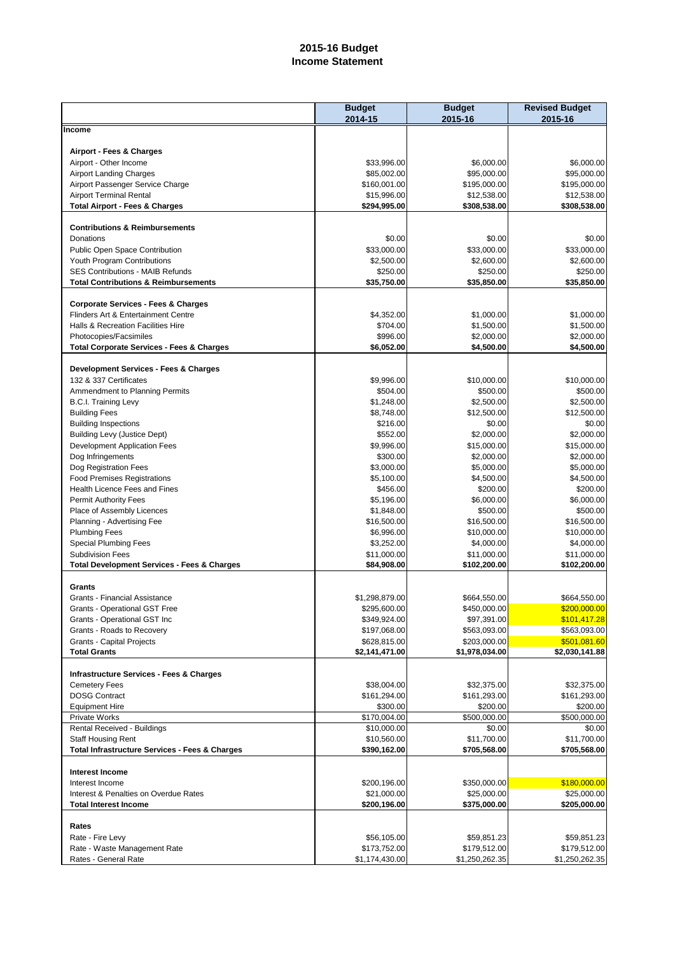### **2015-16 Budget Income Statement**

|                                                               | <b>Budget</b><br>2014-15       | <b>Budget</b><br>2015-16       | <b>Revised Budget</b><br>2015-16 |
|---------------------------------------------------------------|--------------------------------|--------------------------------|----------------------------------|
| Income                                                        |                                |                                |                                  |
| Airport - Fees & Charges                                      |                                |                                |                                  |
| Airport - Other Income                                        | \$33,996.00                    | \$6,000.00                     | \$6,000.00                       |
| <b>Airport Landing Charges</b>                                | \$85,002.00                    | \$95,000.00                    | \$95,000.00                      |
| Airport Passenger Service Charge                              | \$160,001.00                   | \$195,000.00                   | \$195,000.00                     |
| <b>Airport Terminal Rental</b>                                | \$15,996.00                    | \$12,538.00                    | \$12,538.00                      |
| <b>Total Airport - Fees &amp; Charges</b>                     | \$294,995.00                   | \$308,538.00                   | \$308,538.00                     |
| <b>Contributions &amp; Reimbursements</b>                     |                                |                                |                                  |
| Donations                                                     | \$0.00<br>\$33,000.00          | \$0.00<br>\$33,000.00          | \$0.00<br>\$33,000.00            |
| Public Open Space Contribution<br>Youth Program Contributions | \$2,500.00                     | \$2,600.00                     | \$2,600.00                       |
| <b>SES Contributions - MAIB Refunds</b>                       | \$250.00                       | \$250.00                       | \$250.00                         |
| <b>Total Contributions &amp; Reimbursements</b>               | \$35,750.00                    | \$35,850.00                    | \$35,850.00                      |
| <b>Corporate Services - Fees &amp; Charges</b>                |                                |                                |                                  |
| Flinders Art & Entertainment Centre                           | \$4,352.00                     | \$1,000.00                     | \$1,000.00                       |
| Halls & Recreation Facilities Hire                            | \$704.00                       | \$1,500.00                     | \$1,500.00                       |
| Photocopies/Facsimiles                                        | \$996.00                       | \$2,000.00                     | \$2,000.00                       |
| <b>Total Corporate Services - Fees &amp; Charges</b>          | \$6,052.00                     | \$4,500.00                     | \$4,500.00                       |
| Development Services - Fees & Charges                         |                                |                                |                                  |
| 132 & 337 Certificates                                        | \$9,996.00                     | \$10,000.00                    | \$10,000.00                      |
| Ammendment to Planning Permits                                | \$504.00                       | \$500.00                       | \$500.00                         |
| <b>B.C.I. Training Levy</b>                                   | \$1,248.00                     | \$2,500.00                     | \$2,500.00                       |
| <b>Building Fees</b>                                          | \$8,748.00                     | \$12,500.00                    | \$12,500.00                      |
| <b>Building Inspections</b>                                   | \$216.00                       | \$0.00                         | \$0.00                           |
| <b>Building Levy (Justice Dept)</b>                           | \$552.00                       | \$2,000.00                     | \$2,000.00                       |
| Development Application Fees                                  | \$9,996.00                     | \$15,000.00                    | \$15,000.00                      |
| Dog Infringements                                             | \$300.00                       | \$2,000.00                     | \$2,000.00                       |
| Dog Registration Fees<br><b>Food Premises Registrations</b>   | \$3,000.00<br>\$5,100.00       | \$5,000.00<br>\$4,500.00       | \$5,000.00<br>\$4,500.00         |
| Health Licence Fees and Fines                                 | \$456.00                       | \$200.00                       | \$200.00                         |
| <b>Permit Authority Fees</b>                                  | \$5,196.00                     | \$6,000.00                     | \$6,000.00                       |
| Place of Assembly Licences                                    | \$1,848.00                     | \$500.00                       | \$500.00                         |
| Planning - Advertising Fee                                    | \$16,500.00                    | \$16,500.00                    | \$16,500.00                      |
| <b>Plumbing Fees</b>                                          | \$6,996.00                     | \$10,000.00                    | \$10,000.00                      |
| <b>Special Plumbing Fees</b>                                  | \$3,252.00                     | \$4,000.00                     | \$4,000.00                       |
| <b>Subdivision Fees</b>                                       | \$11,000.00                    | \$11,000.00                    | \$11,000.00                      |
| <b>Total Development Services - Fees &amp; Charges</b>        | \$84,908.00                    | \$102,200.00                   | \$102,200.00                     |
| Grants                                                        |                                |                                |                                  |
| Grants - Financial Assistance                                 | \$1,298,879.00                 | \$664,550.00                   | \$664,550.00                     |
| Grants - Operational GST Free                                 | \$295,600.00                   | \$450,000.00                   | \$200,000.00                     |
| Grants - Operational GST Inc                                  | \$349,924.00                   | \$97,391.00                    | \$101,417.28                     |
| Grants - Roads to Recovery                                    | \$197,068.00                   | \$563,093.00                   | \$563,093.00                     |
| <b>Grants - Capital Projects</b><br><b>Total Grants</b>       | \$628,815.00<br>\$2,141,471.00 | \$203,000.00<br>\$1,978,034.00 | \$501,081.60<br>\$2,030,141.88   |
|                                                               |                                |                                |                                  |
| <b>Infrastructure Services - Fees &amp; Charges</b>           | \$38,004.00                    |                                |                                  |
| <b>Cemetery Fees</b><br><b>DOSG Contract</b>                  | \$161,294.00                   | \$32,375.00<br>\$161,293.00    | \$32,375.00<br>\$161,293.00      |
| <b>Equipment Hire</b>                                         | \$300.00                       | \$200.00                       | \$200.00                         |
| Private Works                                                 | \$170,004.00                   | \$500,000.00                   | \$500,000.00                     |
| Rental Received - Buildings                                   | \$10,000.00                    | \$0.00                         | \$0.00                           |
| <b>Staff Housing Rent</b>                                     | \$10,560.00                    | \$11,700.00                    | \$11,700.00                      |
| <b>Total Infrastructure Services - Fees &amp; Charges</b>     | \$390,162.00                   | \$705,568.00                   | \$705,568.00                     |
| <b>Interest Income</b>                                        |                                |                                |                                  |
| Interest Income                                               | \$200,196.00                   | \$350,000.00                   | \$180,000.00                     |
| Interest & Penalties on Overdue Rates                         | \$21,000.00                    | \$25,000.00                    | \$25,000.00                      |
| <b>Total Interest Income</b>                                  | \$200,196.00                   | \$375,000.00                   | \$205,000.00                     |
| Rates                                                         |                                |                                |                                  |
| Rate - Fire Levy                                              | \$56,105.00                    | \$59,851.23                    | \$59,851.23                      |
| Rate - Waste Management Rate                                  | \$173,752.00                   | \$179,512.00                   | \$179,512.00                     |
| Rates - General Rate                                          | \$1,174,430.00                 | \$1,250,262.35                 | \$1,250,262.35                   |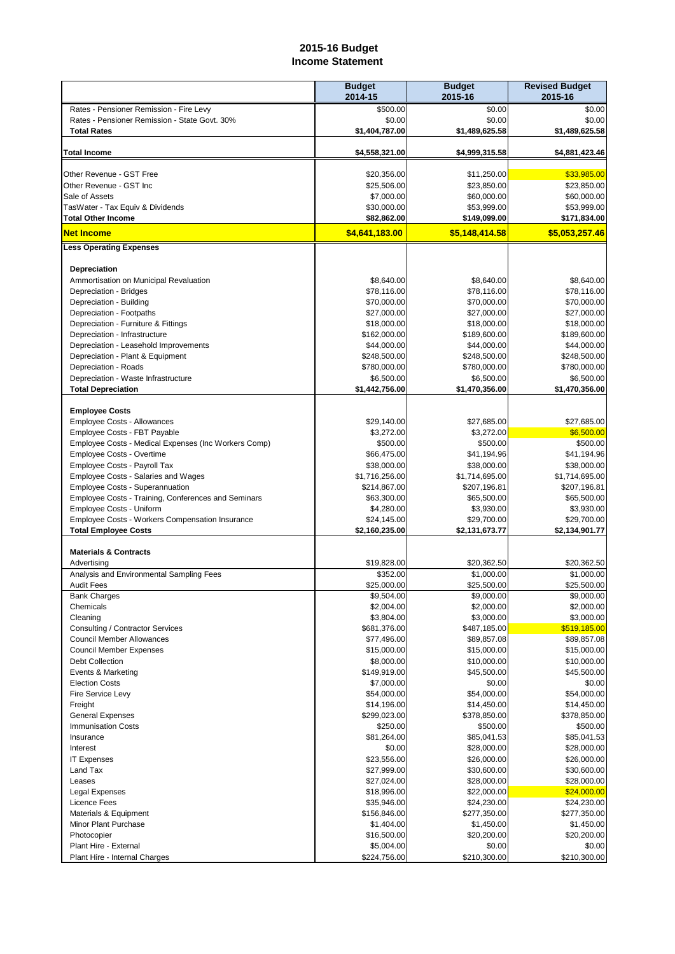#### **2015-16 Budget Income Statement**

|                                                                           | <b>Budget</b><br>2014-15    | <b>Budget</b><br>2015-16    | <b>Revised Budget</b><br>2015-16 |
|---------------------------------------------------------------------------|-----------------------------|-----------------------------|----------------------------------|
| Rates - Pensioner Remission - Fire Levy                                   | \$500.00                    | \$0.00                      | \$0.00                           |
| Rates - Pensioner Remission - State Govt. 30%                             | \$0.00                      | \$0.00                      | \$0.00                           |
| <b>Total Rates</b>                                                        | \$1,404,787.00              | \$1,489,625.58              | \$1,489,625.58                   |
| <b>Total Income</b>                                                       | \$4,558,321.00              | \$4,999,315.58              | \$4,881,423.46                   |
| Other Revenue - GST Free                                                  | \$20,356.00                 | \$11,250.00                 | \$33,985.00                      |
| Other Revenue - GST Inc                                                   | \$25,506.00                 | \$23,850.00                 | \$23,850.00                      |
| Sale of Assets                                                            | \$7,000.00                  | \$60,000.00                 | \$60,000.00                      |
| TasWater - Tax Equiv & Dividends                                          | \$30,000.00                 | \$53,999.00                 | \$53,999.00                      |
| <b>Total Other Income</b>                                                 | \$82,862.00                 | \$149,099.00                | \$171,834.00                     |
| <b>Net Income</b>                                                         | \$4,641,183.00              | \$5.148.414.58              | \$5,053,257.46                   |
| <b>Less Operating Expenses</b>                                            |                             |                             |                                  |
| <b>Depreciation</b>                                                       |                             |                             |                                  |
| Ammortisation on Municipal Revaluation                                    | \$8,640.00                  | \$8,640.00                  | \$8,640.00                       |
| Depreciation - Bridges                                                    | \$78,116.00                 | \$78,116.00                 | \$78,116.00                      |
| Depreciation - Building                                                   | \$70,000.00                 | \$70,000.00                 | \$70,000.00                      |
| Depreciation - Footpaths                                                  | \$27,000.00                 | \$27,000.00                 | \$27,000.00                      |
| Depreciation - Furniture & Fittings                                       | \$18,000.00                 | \$18,000.00                 | \$18,000.00                      |
| Depreciation - Infrastructure                                             | \$162,000.00                | \$189,600.00                | \$189,600.00                     |
| Depreciation - Leasehold Improvements<br>Depreciation - Plant & Equipment | \$44,000.00<br>\$248,500.00 | \$44,000.00<br>\$248,500.00 | \$44,000.00<br>\$248,500.00      |
| Depreciation - Roads                                                      | \$780,000.00                | \$780,000.00                | \$780,000.00                     |
| Depreciation - Waste Infrastructure                                       | \$6,500.00                  | \$6,500.00                  | \$6,500.00                       |
| <b>Total Depreciation</b>                                                 | \$1,442,756.00              | \$1,470,356.00              | \$1,470,356.00                   |
|                                                                           |                             |                             |                                  |
| <b>Employee Costs</b>                                                     |                             |                             |                                  |
| Employee Costs - Allowances                                               | \$29,140.00                 | \$27,685.00                 | \$27,685.00                      |
| Employee Costs - FBT Payable                                              | \$3,272.00                  | \$3,272.00                  | \$6,500.00                       |
| Employee Costs - Medical Expenses (Inc Workers Comp)                      | \$500.00                    | \$500.00                    | \$500.00                         |
| Employee Costs - Overtime<br>Employee Costs - Payroll Tax                 | \$66,475.00<br>\$38,000.00  | \$41,194.96<br>\$38,000.00  | \$41,194.96<br>\$38,000.00       |
| Employee Costs - Salaries and Wages                                       | \$1,716,256.00              | \$1,714,695.00              | \$1,714,695.00                   |
| <b>Employee Costs - Superannuation</b>                                    | \$214,867.00                | \$207,196.81                | \$207,196.81                     |
| Employee Costs - Training, Conferences and Seminars                       | \$63,300.00                 | \$65,500.00                 | \$65,500.00                      |
| Employee Costs - Uniform                                                  | \$4,280.00                  | \$3,930.00                  | \$3,930.00                       |
| Employee Costs - Workers Compensation Insurance                           | \$24,145.00                 | \$29,700.00                 | \$29.700.00                      |
| <b>Total Employee Costs</b>                                               | \$2,160,235.00              | \$2,131,673.77              | \$2,134,901.77                   |
| <b>Materials &amp; Contracts</b>                                          |                             |                             |                                  |
| Advertising                                                               | \$19,828.00                 | \$20,362.50                 | \$20,362.50                      |
| Analysis and Environmental Sampling Fees                                  | \$352.00                    | \$1.000.00                  | \$1,000.00                       |
| <b>Audit Fees</b>                                                         | \$25,000.00                 | \$25,500.00                 | \$25,500.00                      |
| <b>Bank Charges</b>                                                       | \$9,504.00                  | \$9,000.00                  | \$9,000.00                       |
| Chemicals<br>Cleaning                                                     | \$2,004.00<br>\$3,804.00    | \$2,000.00<br>\$3,000.00    | \$2,000.00<br>\$3,000.00         |
| Consulting / Contractor Services                                          | \$681,376.00                | \$487,185.00                | \$519,185.00                     |
| <b>Council Member Allowances</b>                                          | \$77,496.00                 | \$89,857.08                 | \$89,857.08                      |
| <b>Council Member Expenses</b>                                            | \$15,000.00                 | \$15,000.00                 | \$15,000.00                      |
| <b>Debt Collection</b>                                                    | \$8,000.00                  | \$10,000.00                 | \$10,000.00                      |
| Events & Marketing                                                        | \$149,919.00                | \$45,500.00                 | \$45,500.00                      |
| <b>Election Costs</b>                                                     | \$7,000.00                  | \$0.00                      | \$0.00                           |
| Fire Service Levy                                                         | \$54,000.00                 | \$54,000.00                 | \$54,000.00                      |
| Freight                                                                   | \$14,196.00                 | \$14,450.00                 | \$14,450.00                      |
| <b>General Expenses</b>                                                   | \$299,023.00                | \$378,850.00                | \$378,850.00                     |
| <b>Immunisation Costs</b>                                                 | \$250.00<br>\$81,264.00     | \$500.00<br>\$85,041.53     | \$500.00                         |
| Insurance<br>Interest                                                     | \$0.00                      | \$28,000.00                 | \$85,041.53<br>\$28,000.00       |
| <b>IT Expenses</b>                                                        | \$23,556.00                 | \$26,000.00                 | \$26,000.00                      |
| Land Tax                                                                  | \$27,999.00                 | \$30,600.00                 | \$30,600.00                      |
| Leases                                                                    | \$27,024.00                 | \$28,000.00                 | \$28,000.00                      |
| Legal Expenses                                                            | \$18,996.00                 | \$22,000.00                 | \$24,000.00                      |
| <b>Licence Fees</b>                                                       | \$35,946.00                 | \$24,230.00                 | \$24,230.00                      |
| Materials & Equipment                                                     | \$156,846.00                | \$277,350.00                | \$277,350.00                     |
| Minor Plant Purchase                                                      | \$1,404.00                  | \$1,450.00                  | \$1,450.00                       |
| Photocopier                                                               | \$16,500.00                 | \$20,200.00                 | \$20,200.00                      |
| Plant Hire - External                                                     | \$5,004.00                  | \$0.00                      | \$0.00                           |
| Plant Hire - Internal Charges                                             | \$224,756.00                | \$210,300.00                | \$210,300.00                     |